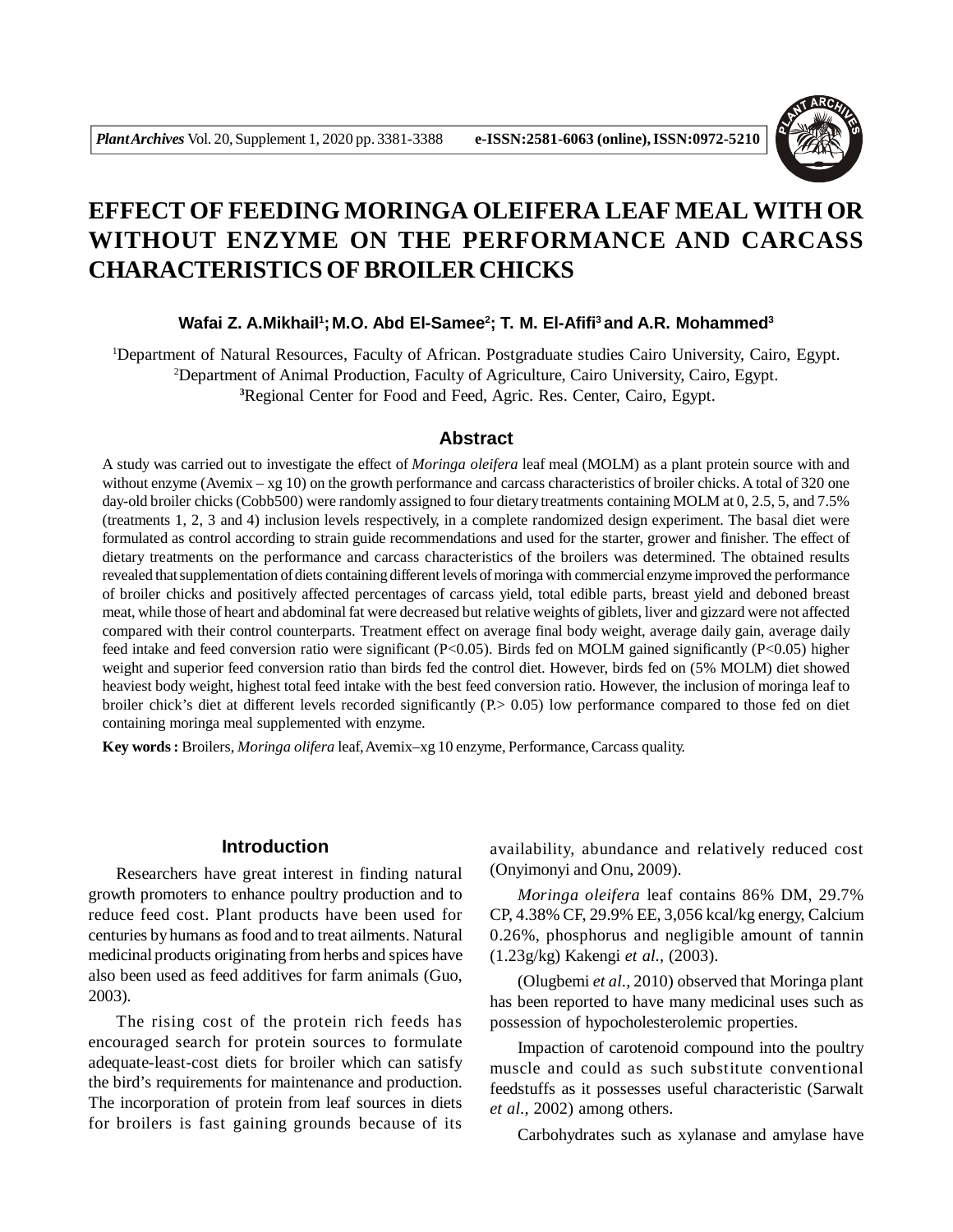

# **EFFECT OF FEEDING MORINGA OLEIFERA LEAF MEAL WITH OR WITHOUT ENZYME ON THE PERFORMANCE AND CARCASS CHARACTERISTICS OF BROILER CHICKS**

# **Wafai Z. A.Mikhail<sup>1</sup> ;M.O. Abd El-Samee<sup>2</sup> ; T. M. El-Afifi<sup>3</sup>and A.R. Mohammed<sup>3</sup>**

<sup>1</sup>Department of Natural Resources, Faculty of African. Postgraduate studies Cairo University, Cairo, Egypt. <sup>2</sup>Department of Animal Production, Faculty of Agriculture, Cairo University, Cairo, Egypt. **<sup>3</sup>**Regional Center for Food and Feed, Agric. Res. Center, Cairo, Egypt.

# **Abstract**

A study was carried out to investigate the effect of *Moringa oleifera* leaf meal (MOLM) as a plant protein source with and without enzyme (Avemix – xg 10) on the growth performance and carcass characteristics of broiler chicks. A total of 320 one day-old broiler chicks (Cobb500) were randomly assigned to four dietary treatments containing MOLM at 0, 2.5, 5, and 7.5% (treatments 1, 2, 3 and 4) inclusion levels respectively, in a complete randomized design experiment. The basal diet were formulated as control according to strain guide recommendations and used for the starter, grower and finisher. The effect of dietary treatments on the performance and carcass characteristics of the broilers was determined. The obtained results revealed that supplementation of diets containing different levels of moringa with commercial enzyme improved the performance of broiler chicks and positively affected percentages of carcass yield, total edible parts, breast yield and deboned breast meat, while those of heart and abdominal fat were decreased but relative weights of giblets, liver and gizzard were not affected compared with their control counterparts. Treatment effect on average final body weight, average daily gain, average daily feed intake and feed conversion ratio were significant (P<0.05). Birds fed on MOLM gained significantly (P<0.05) higher weight and superior feed conversion ratio than birds fed the control diet. However, birds fed on (5% MOLM) diet showed heaviest body weight, highest total feed intake with the best feed conversion ratio. However, the inclusion of moringa leaf to broiler chick's diet at different levels recorded significantly (P. > 0.05) low performance compared to those fed on diet containing moringa meal supplemented with enzyme.

**Key words :** Broilers, *Moringa olifera* leaf, Avemix–xg 10 enzyme, Performance, Carcass quality.

# **Introduction**

Researchers have great interest in finding natural growth promoters to enhance poultry production and to reduce feed cost. Plant products have been used for centuries by humans as food and to treat ailments. Natural medicinal products originating from herbs and spices have also been used as feed additives for farm animals (Guo, 2003).

The rising cost of the protein rich feeds has encouraged search for protein sources to formulate adequate-least-cost diets for broiler which can satisfy the bird's requirements for maintenance and production. The incorporation of protein from leaf sources in diets for broilers is fast gaining grounds because of its

availability, abundance and relatively reduced cost (Onyimonyi and Onu, 2009).

*Moringa oleifera* leaf contains 86% DM, 29.7% CP, 4.38% CF, 29.9% EE, 3,056 kcal/kg energy, Calcium 0.26%, phosphorus and negligible amount of tannin (1.23g/kg) Kakengi *et al.,* (2003).

(Olugbemi *et al.,* 2010) observed that Moringa plant has been reported to have many medicinal uses such as possession of hypocholesterolemic properties.

Impaction of carotenoid compound into the poultry muscle and could as such substitute conventional feedstuffs as it possesses useful characteristic (Sarwalt *et al.,* 2002) among others.

Carbohydrates such as xylanase and amylase have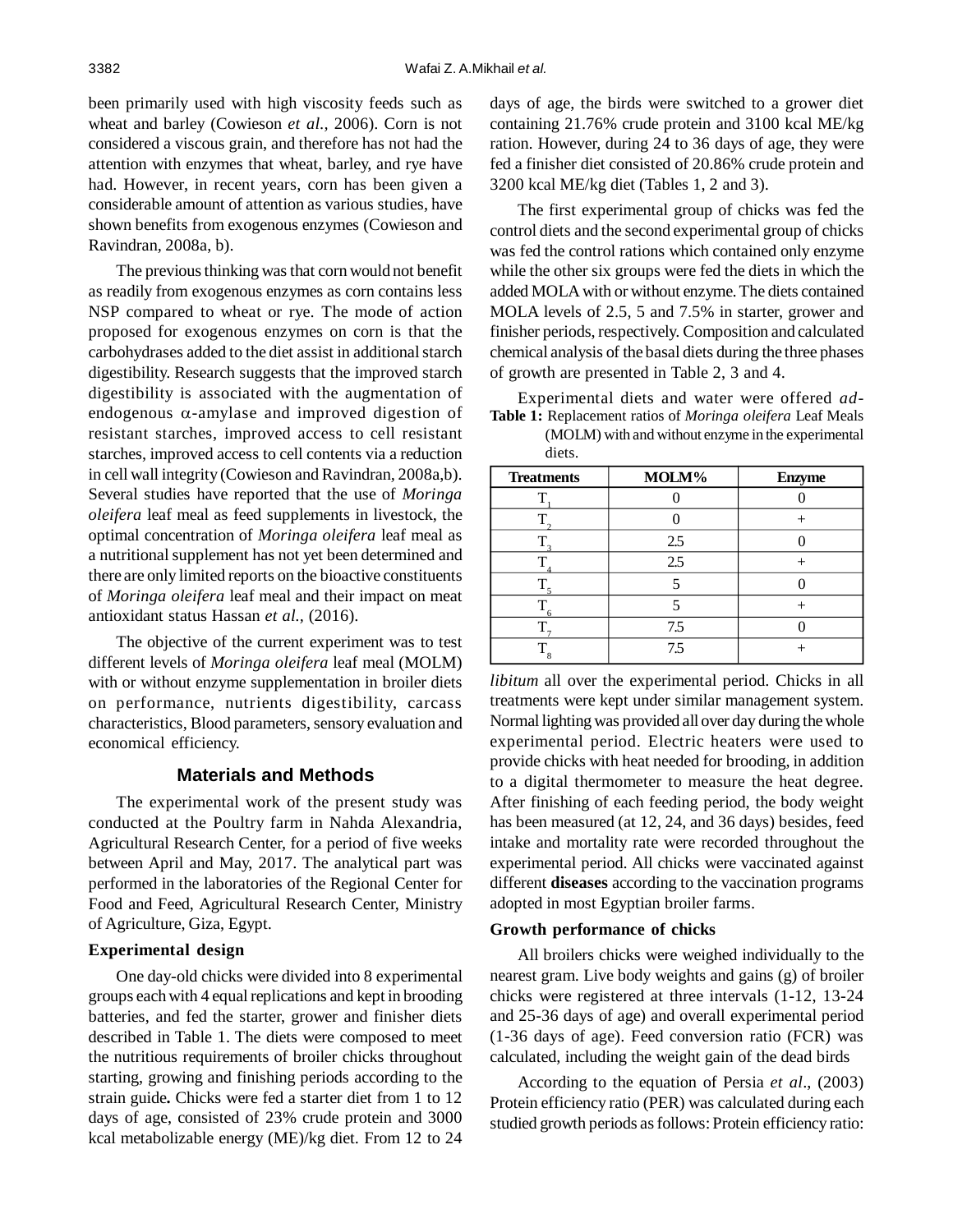been primarily used with high viscosity feeds such as wheat and barley (Cowieson *et al.,* 2006). Corn is not considered a viscous grain, and therefore has not had the attention with enzymes that wheat, barley, and rye have had. However, in recent years, corn has been given a considerable amount of attention as various studies, have shown benefits from exogenous enzymes (Cowieson and Ravindran*,* 2008a, b).

The previous thinking was that corn would not benefit as readily from exogenous enzymes as corn contains less NSP compared to wheat or rye. The mode of action proposed for exogenous enzymes on corn is that the carbohydrases added to the diet assist in additional starch digestibility. Research suggests that the improved starch digestibility is associated with the augmentation of endogenous  $\alpha$ -amylase and improved digestion of resistant starches, improved access to cell resistant starches, improved access to cell contents via a reduction in cell wall integrity (Cowieson and Ravindran*,* 2008a,b). Several studies have reported that the use of *Moringa oleifera* leaf meal as feed supplements in livestock, the optimal concentration of *Moringa oleifera* leaf meal as a nutritional supplement has not yet been determined and there are only limited reports on the bioactive constituents of *Moringa oleifera* leaf meal and their impact on meat antioxidant status Hassan *et al.,* (2016).

The objective of the current experiment was to test different levels of *Moringa oleifera* leaf meal (MOLM) with or without enzyme supplementation in broiler diets on performance, nutrients digestibility, carcass characteristics, Blood parameters, sensory evaluation and economical efficiency.

#### **Materials and Methods**

The experimental work of the present study was conducted at the Poultry farm in Nahda Alexandria, Agricultural Research Center, for a period of five weeks between April and May, 2017. The analytical part was performed in the laboratories of the Regional Center for Food and Feed, Agricultural Research Center, Ministry of Agriculture, Giza, Egypt.

#### **Experimental design**

One day-old chicks were divided into 8 experimental groups each with 4 equal replications and kept in brooding batteries, and fed the starter, grower and finisher diets described in Table 1. The diets were composed to meet the nutritious requirements of broiler chicks throughout starting, growing and finishing periods according to the strain guide**.** Chicks were fed a starter diet from 1 to 12 days of age, consisted of 23% crude protein and 3000 kcal metabolizable energy (ME)/kg diet. From 12 to 24 days of age, the birds were switched to a grower diet containing 21.76% crude protein and 3100 kcal ME/kg ration. However, during 24 to 36 days of age, they were fed a finisher diet consisted of 20.86% crude protein and 3200 kcal ME/kg diet (Tables 1, 2 and 3).

The first experimental group of chicks was fed the control diets and the second experimental group of chicks was fed the control rations which contained only enzyme while the other six groups were fed the diets in which the added MOLA with or without enzyme. The diets contained MOLA levels of 2.5, 5 and 7.5% in starter, grower and finisher periods, respectively. Composition and calculated chemical analysis of the basal diets during the three phases of growth are presented in Table 2, 3 and 4.

Experimental diets and water were offered *ad-***Table 1:** Replacement ratios of *Moringa oleifera* Leaf Meals

(MOLM) with and without enzyme in the experimental diets.

| <b>Treatments</b> | MOLM% | <b>Enzyme</b> |
|-------------------|-------|---------------|
|                   |       |               |
|                   |       |               |
|                   | 2.5   |               |
|                   | 2.5   |               |
|                   |       |               |
|                   |       |               |
|                   | 7.5   |               |
|                   | 75    |               |

*libitum* all over the experimental period. Chicks in all treatments were kept under similar management system. Normal lighting was provided all over day during the whole experimental period. Electric heaters were used to provide chicks with heat needed for brooding, in addition to a digital thermometer to measure the heat degree. After finishing of each feeding period, the body weight has been measured (at 12, 24, and 36 days) besides, feed intake and mortality rate were recorded throughout the experimental period. All chicks were vaccinated against different **diseases** according to the vaccination programs adopted in most Egyptian broiler farms.

#### **Growth performance of chicks**

All broilers chicks were weighed individually to the nearest gram. Live body weights and gains (g) of broiler chicks were registered at three intervals (1-12, 13-24 and 25-36 days of age) and overall experimental period (1-36 days of age). Feed conversion ratio (FCR) was calculated, including the weight gain of the dead birds

According to the equation of Persia *et al*., (2003) Protein efficiency ratio (PER) was calculated during each studied growth periods as follows: Protein efficiency ratio: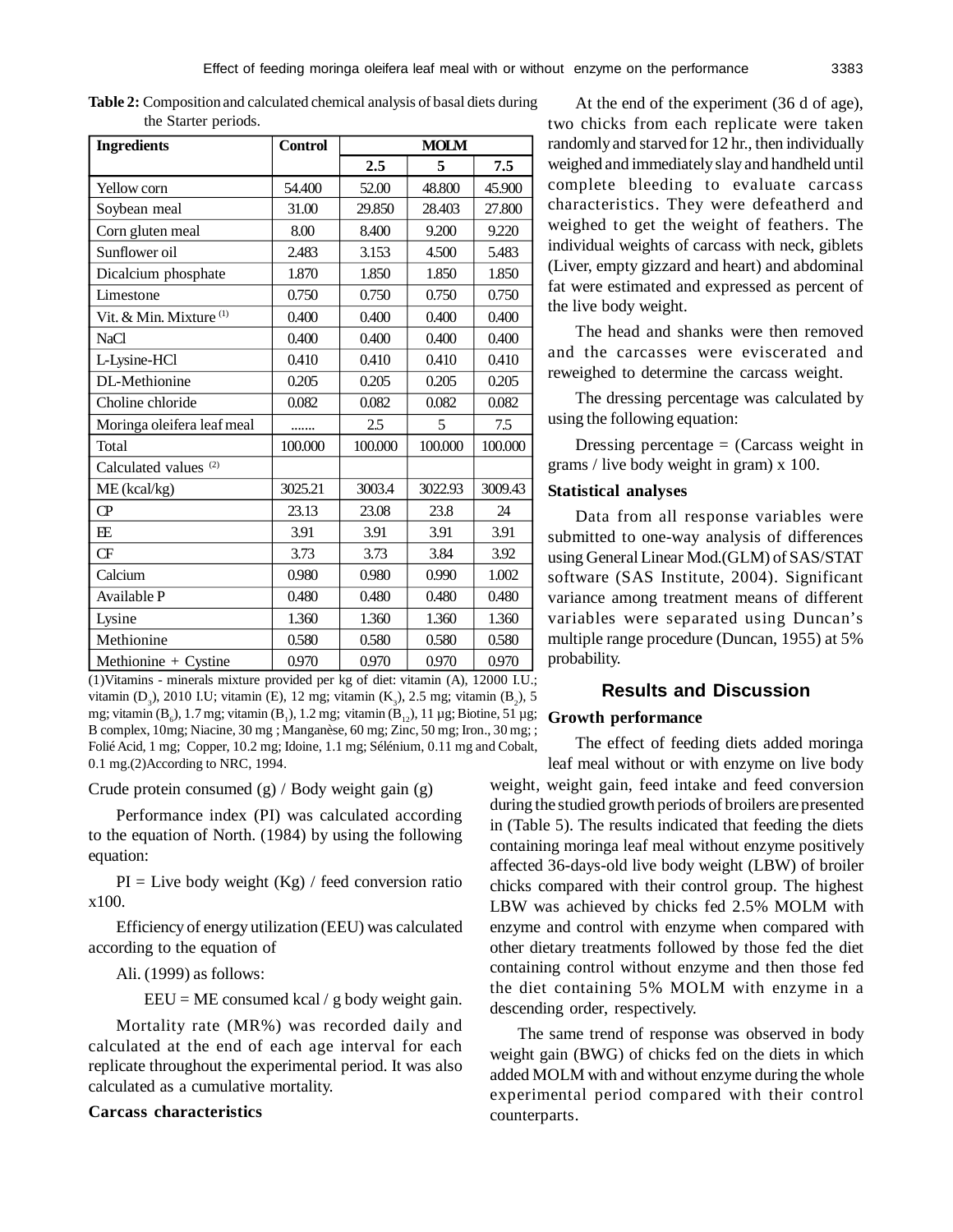| <b>Ingredients</b>                 | <b>Control</b> | <b>MOLM</b> |         |         |
|------------------------------------|----------------|-------------|---------|---------|
|                                    |                | 2.5         | 5       | 7.5     |
| Yellow corn                        | 54.400         | 52.00       | 48.800  | 45.900  |
| Soybean meal                       | 31.00          | 29.850      | 28.403  | 27.800  |
| Corn gluten meal                   | 8.00           | 8.400       | 9.200   | 9.220   |
| Sunflower oil                      | 2.483          | 3.153       | 4.500   | 5.483   |
| Dicalcium phosphate                | 1.870          | 1.850       | 1.850   | 1.850   |
| Limestone                          | 0.750          | 0.750       | 0.750   | 0.750   |
| Vit. & Min. Mixture <sup>(1)</sup> | 0.400          | 0.400       | 0.400   | 0.400   |
| <b>NaCl</b>                        | 0.400          | 0.400       | 0.400   | 0.400   |
| L-Lysine-HCl                       | 0.410          | 0.410       | 0.410   | 0.410   |
| DL-Methionine                      | 0.205          | 0.205       | 0.205   | 0.205   |
| Choline chloride                   | 0.082          | 0.082       | 0.082   | 0.082   |
| Moringa oleifera leaf meal         | .              | 2.5         | 5       | 7.5     |
| Total                              | 100.000        | 100.000     | 100.000 | 100.000 |
| Calculated values <sup>(2)</sup>   |                |             |         |         |
| ME (kcal/kg)                       | 3025.21        | 3003.4      | 3022.93 | 3009.43 |
| $\overline{CP}$                    | 23.13          | 23.08       | 23.8    | 24      |
| <b>FE</b>                          | 3.91           | 3.91        | 3.91    | 3.91    |
| <b>CF</b>                          | 3.73           | 3.73        | 3.84    | 3.92    |
| Calcium                            | 0.980          | 0.980       | 0.990   | 1.002   |
| Available P                        | 0.480          | 0.480       | 0.480   | 0.480   |
| Lysine                             | 1.360          | 1.360       | 1.360   | 1.360   |
| Methionine                         | 0.580          | 0.580       | 0.580   | 0.580   |
| Methionine + Cystine               | 0.970          | 0.970       | 0.970   | 0.970   |

**Table 2:** Composition and calculated chemical analysis of basal diets during the Starter periods.

(1)Vitamins - minerals mixture provided per kg of diet: vitamin (A), 12000 I.U.; vitamin (D<sub>3</sub>), 2010 I.U; vitamin (E), 12 mg; vitamin (K<sub>3</sub>), 2.5 mg; vitamin (B<sub>2</sub>), 5 mg; vitamin  $(B_6)$ , 1.7 mg; vitamin  $(B_1)$ , 1.2 mg; vitamin  $(B_{12})$ , 11 µg; Biotine, 51 µg; **Growth performance** B complex, 10mg; Niacine, 30 mg ; Manganèse, 60 mg; Zinc, 50 mg; Iron., 30 mg; ; Folié Acid, 1 mg; Copper, 10.2 mg; Idoine, 1.1 mg; Sélénium, 0.11 mg and Cobalt, 0.1 mg.(2)According to NRC, 1994.

Crude protein consumed (g) / Body weight gain (g)

Performance index (PI) was calculated according to the equation of North. (1984) by using the following equation:

 $PI = Live body weight (Kg) / feed conversion ratio$ x100.

Efficiency of energy utilization (EEU) was calculated according to the equation of

## Ali. (1999) as follows:

EEU = ME consumed kcal / g body weight gain.

Mortality rate (MR%) was recorded daily and calculated at the end of each age interval for each replicate throughout the experimental period. It was also calculated as a cumulative mortality.

# **Carcass characteristics**

At the end of the experiment (36 d of age), two chicks from each replicate were taken randomly and starved for 12 hr., then individually weighed and immediately slay and handheld until complete bleeding to evaluate carcass characteristics. They were defeatherd and weighed to get the weight of feathers. The individual weights of carcass with neck, giblets (Liver, empty gizzard and heart) and abdominal fat were estimated and expressed as percent of the live body weight.

The head and shanks were then removed and the carcasses were eviscerated and reweighed to determine the carcass weight.

The dressing percentage was calculated by using the following equation:

Dressing percentage  $=$  (Carcass weight in grams / live body weight in gram) x 100.

### **Statistical analyses**

Data from all response variables were submitted to one-way analysis of differences using General Linear Mod.(GLM) of SAS/STAT software (SAS Institute, 2004). Significant variance among treatment means of different variables were separated using Duncan's multiple range procedure (Duncan, 1955) at 5% probability.

# **Results and Discussion**

The effect of feeding diets added moringa leaf meal without or with enzyme on live body weight, weight gain, feed intake and feed conversion during the studied growth periods of broilers are presented in (Table 5). The results indicated that feeding the diets containing moringa leaf meal without enzyme positively affected 36-days-old live body weight (LBW) of broiler chicks compared with their control group. The highest LBW was achieved by chicks fed 2.5% MOLM with enzyme and control with enzyme when compared with other dietary treatments followed by those fed the diet containing control without enzyme and then those fed the diet containing 5% MOLM with enzyme in a descending order, respectively.

The same trend of response was observed in body weight gain (BWG) of chicks fed on the diets in which added MOLM with and without enzyme during the whole experimental period compared with their control counterparts.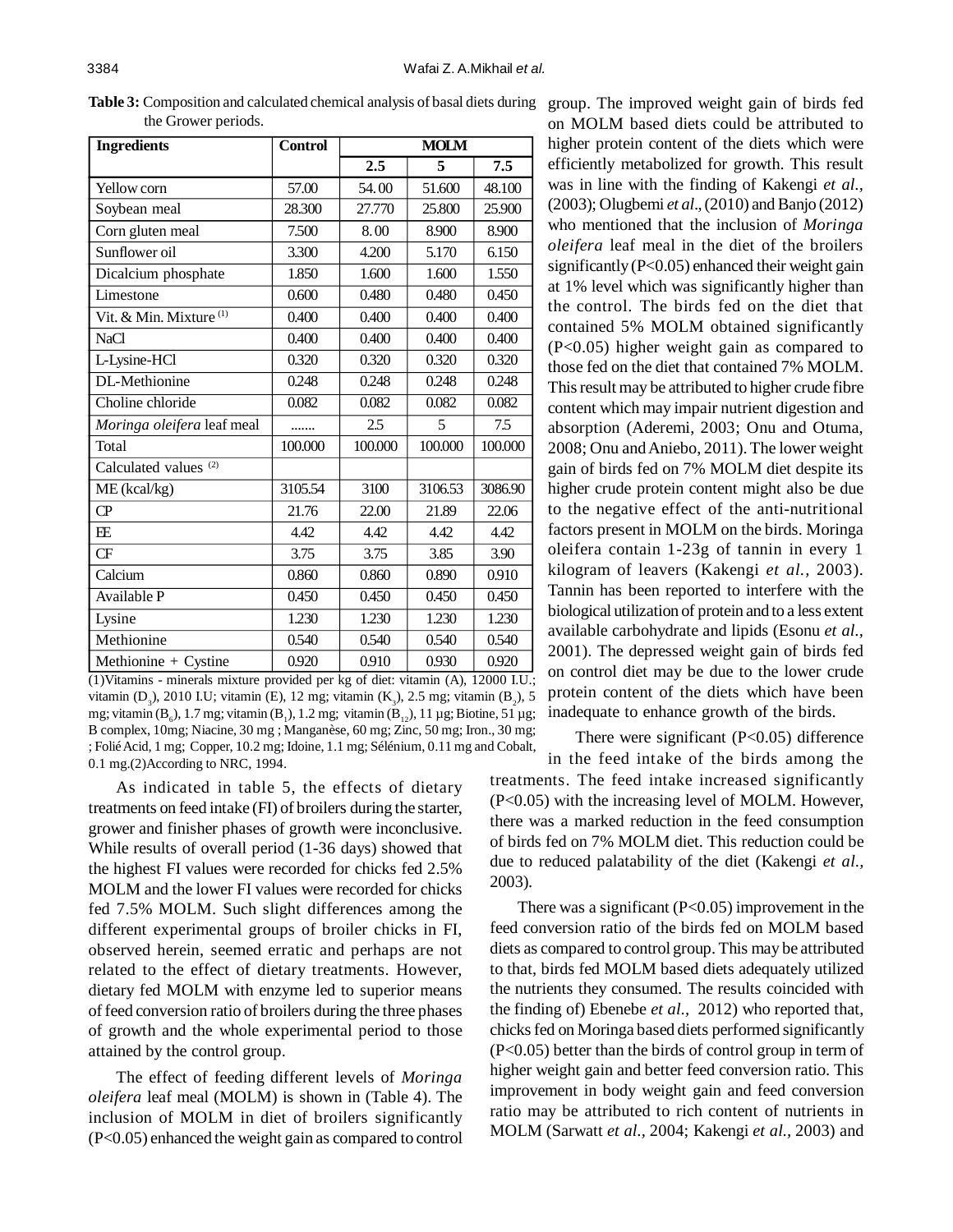| <b>Ingredients</b>                 | <b>Control</b> | <b>MOLM</b> |         |         |
|------------------------------------|----------------|-------------|---------|---------|
|                                    |                | 2.5         | 5       | 7.5     |
| Yellow corn                        | 57.00          | 54.00       | 51.600  | 48.100  |
| Soybean meal                       | 28.300         | 27.770      | 25.800  | 25.900  |
| Corn gluten meal                   | 7.500          | 8.00        | 8.900   | 8.900   |
| Sunflower oil                      | 3.300          | 4.200       | 5.170   | 6.150   |
| Dicalcium phosphate                | 1.850          | 1.600       | 1.600   | 1.550   |
| Limestone                          | 0.600          | 0.480       | 0.480   | 0.450   |
| Vit. & Min. Mixture <sup>(1)</sup> | 0.400          | 0.400       | 0.400   | 0.400   |
| <b>NaCl</b>                        | 0.400          | 0.400       | 0.400   | 0.400   |
| L-Lysine-HCl                       | 0.320          | 0.320       | 0.320   | 0.320   |
| DL-Methionine                      | 0.248          | 0.248       | 0.248   | 0.248   |
| Choline chloride                   | 0.082          | 0.082       | 0.082   | 0.082   |
| Moringa oleifera leaf meal         |                | 2.5         | 5       | 7.5     |
| Total                              | 100.000        | 100.000     | 100.000 | 100.000 |
| Calculated values <sup>(2)</sup>   |                |             |         |         |
| ME (kcal/kg)                       | 3105.54        | 3100        | 3106.53 | 3086.90 |
| $\overline{CP}$                    | 21.76          | 22.00       | 21.89   | 22.06   |
| E E                                | 4.42           | 4.42        | 4.42    | 4.42    |
| CF                                 | 3.75           | 3.75        | 3.85    | 3.90    |
| Calcium                            | 0.860          | 0.860       | 0.890   | 0.910   |
| Available P                        | 0.450          | 0.450       | 0.450   | 0.450   |
| Lysine                             | 1.230          | 1.230       | 1.230   | 1.230   |
| Methionine                         | 0.540          | 0.540       | 0.540   | 0.540   |
| Methionine + Cystine               | 0.920          | 0.910       | 0.930   | 0.920   |

**Table 3:** Composition and calculated chemical analysis of basal diets during the Grower periods.

(1)Vitamins - minerals mixture provided per kg of diet: vitamin (A), 12000 I.U.; vitamin (D<sub>3</sub>), 2010 I.U; vitamin (E), 12 mg; vitamin (K<sub>3</sub>), 2.5 mg; vitamin (B<sub>2</sub>), 5 mg; vitamin (B<sub>6</sub>), 1.7 mg; vitamin (B<sub>1</sub>), 1.2 mg; vitamin (B<sub>12</sub>), 11 µg; Biotine, 51 µg; B complex, 10mg; Niacine, 30 mg ; Manganèse, 60 mg; Zinc, 50 mg; Iron., 30 mg; ; Folié Acid, 1 mg; Copper, 10.2 mg; Idoine, 1.1 mg; Sélénium, 0.11 mg and Cobalt, 0.1 mg.(2)According to NRC, 1994.

As indicated in table 5, the effects of dietary treatments on feed intake (FI) of broilers during the starter, grower and finisher phases of growth were inconclusive. While results of overall period (1-36 days) showed that the highest FI values were recorded for chicks fed 2.5% MOLM and the lower FI values were recorded for chicks fed 7.5% MOLM. Such slight differences among the different experimental groups of broiler chicks in FI, observed herein, seemed erratic and perhaps are not related to the effect of dietary treatments. However, dietary fed MOLM with enzyme led to superior means of feed conversion ratio of broilers during the three phases of growth and the whole experimental period to those attained by the control group.

The effect of feeding different levels of *Moringa oleifera* leaf meal (MOLM) is shown in (Table 4). The inclusion of MOLM in diet of broilers significantly (P<0.05) enhanced the weight gain as compared to control group. The improved weight gain of birds fed on MOLM based diets could be attributed to higher protein content of the diets which were efficiently metabolized for growth. This result was in line with the finding of Kakengi *et al.,* (2003); Olugbemi *et al*., (2010) and Banjo (2012) who mentioned that the inclusion of *Moringa oleifera* leaf meal in the diet of the broilers significantly (P<0.05) enhanced their weight gain at 1% level which was significantly higher than the control. The birds fed on the diet that contained 5% MOLM obtained significantly (P<0.05) higher weight gain as compared to those fed on the diet that contained 7% MOLM. This result may be attributed to higher crude fibre content which may impair nutrient digestion and absorption (Aderemi, 2003; Onu and Otuma, 2008; Onu and Aniebo, 2011). The lower weight gain of birds fed on 7% MOLM diet despite its higher crude protein content might also be due to the negative effect of the anti-nutritional factors present in MOLM on the birds. Moringa oleifera contain 1-23g of tannin in every 1 kilogram of leavers (Kakengi *et al.,* 2003). Tannin has been reported to interfere with the biological utilization of protein and to a less extent available carbohydrate and lipids (Esonu *et al.,* 2001). The depressed weight gain of birds fed on control diet may be due to the lower crude protein content of the diets which have been inadequate to enhance growth of the birds.

There were significant (P<0.05) difference in the feed intake of the birds among the treatments. The feed intake increased significantly (P<0.05) with the increasing level of MOLM. However, there was a marked reduction in the feed consumption of birds fed on 7% MOLM diet. This reduction could be due to reduced palatability of the diet (Kakengi *et al.,* 2003).

There was a significant  $(P<0.05)$  improvement in the feed conversion ratio of the birds fed on MOLM based diets as compared to control group. This may be attributed to that, birds fed MOLM based diets adequately utilized the nutrients they consumed. The results coincided with the finding of) Ebenebe *et al.,* 2012) who reported that, chicks fed on Moringa based diets performed significantly (P<0.05) better than the birds of control group in term of higher weight gain and better feed conversion ratio. This improvement in body weight gain and feed conversion ratio may be attributed to rich content of nutrients in MOLM (Sarwatt *et al.,* 2004; Kakengi *et al.,* 2003) and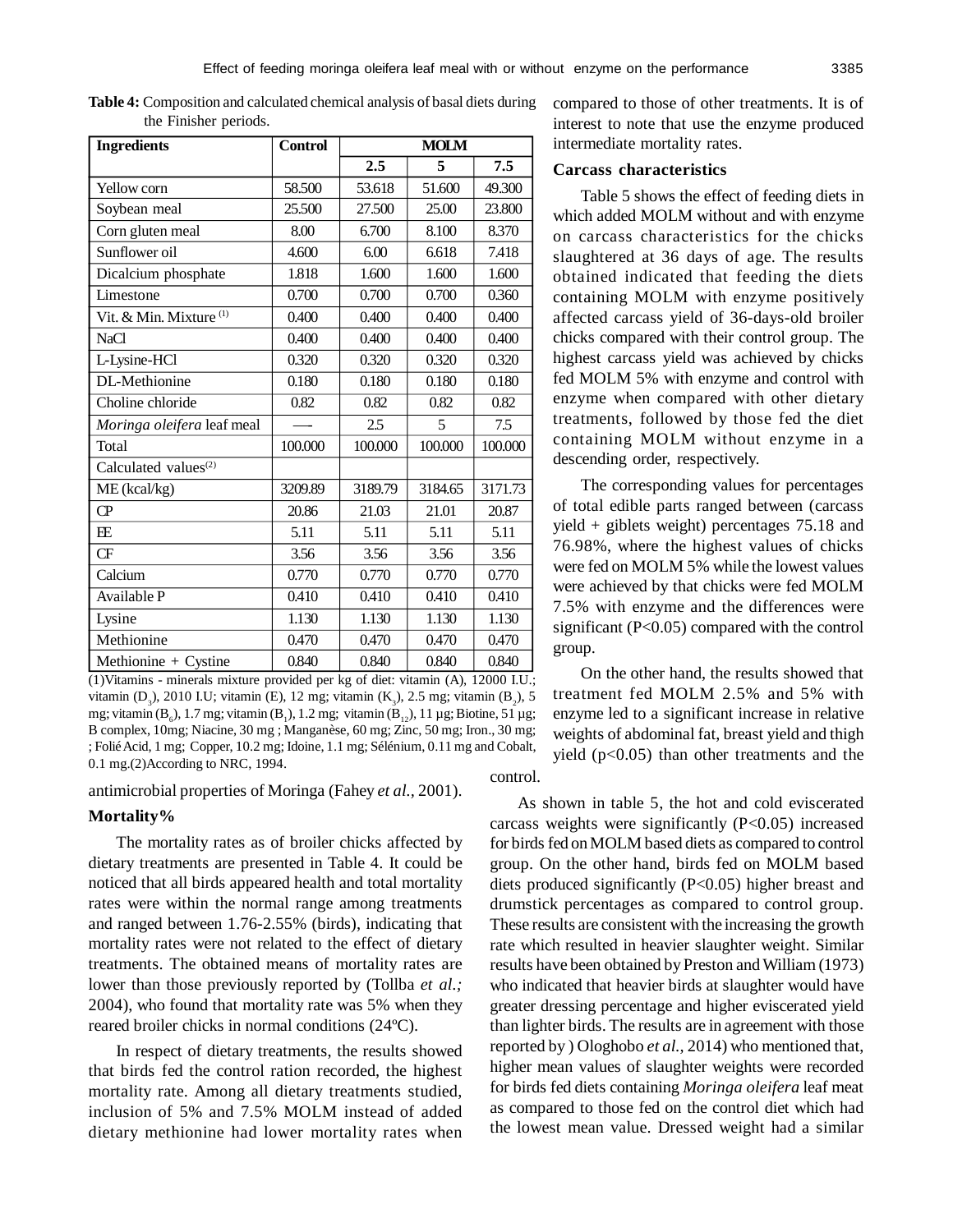| <b>Ingredients</b>                 | <b>Control</b> | <b>MOLM</b> |         |         |
|------------------------------------|----------------|-------------|---------|---------|
|                                    |                | 2.5         | 5       | 7.5     |
| Yellow corn                        | 58.500         | 53.618      | 51.600  | 49.300  |
| Soybean meal                       | 25.500         | 27.500      | 25.00   | 23.800  |
| Corn gluten meal                   | 8.00           | 6.700       | 8.100   | 8.370   |
| Sunflower oil                      | 4.600          | 6.00        | 6.618   | 7.418   |
| Dicalcium phosphate                | 1.818          | 1.600       | 1.600   | 1.600   |
| Limestone                          | 0.700          | 0.700       | 0.700   | 0.360   |
| Vit. & Min. Mixture <sup>(1)</sup> | 0.400          | 0.400       | 0.400   | 0.400   |
| <b>NaCl</b>                        | 0.400          | 0.400       | 0.400   | 0.400   |
| L-Lysine-HCl                       | 0.320          | 0.320       | 0.320   | 0.320   |
| DL-Methionine                      | 0.180          | 0.180       | 0.180   | 0.180   |
| Choline chloride                   | 0.82           | 0.82        | 0.82    | 0.82    |
| Moringa oleifera leaf meal         |                | 2.5         | 5       | 7.5     |
| Total                              | 100.000        | 100.000     | 100.000 | 100.000 |
| Calculated values <sup>(2)</sup>   |                |             |         |         |
| ME (kcal/kg)                       | 3209.89        | 3189.79     | 3184.65 | 3171.73 |
| CP                                 | 20.86          | 21.03       | 21.01   | 20.87   |
| E E                                | 5.11           | 5.11        | 5.11    | 5.11    |
| <b>CF</b>                          | 3.56           | 3.56        | 3.56    | 3.56    |
| Calcium                            | 0.770          | 0.770       | 0.770   | 0.770   |
| Available P                        | 0.410          | 0.410       | 0.410   | 0.410   |
| Lysine                             | 1.130          | 1.130       | 1.130   | 1.130   |
| Methionine                         | 0.470          | 0.470       | 0.470   | 0.470   |
| Methionine + Cystine               | 0.840          | 0.840       | 0.840   | 0.840   |

**Table 4:** Composition and calculated chemical analysis of basal diets during the Finisher periods.

(1)Vitamins - minerals mixture provided per kg of diet: vitamin (A), 12000 I.U.; vitamin (D<sub>3</sub>), 2010 I.U; vitamin (E), 12 mg; vitamin (K<sub>3</sub>), 2.5 mg; vitamin (B<sub>2</sub>), 5 mg; vitamin (B<sub>6</sub>), 1.7 mg; vitamin (B<sub>1</sub>), 1.2 mg; vitamin (B<sub>12</sub>), 11 µg; Biotine, 51 µg; B complex, 10mg; Niacine, 30 mg ; Manganèse, 60 mg; Zinc, 50 mg; Iron., 30 mg; ; Folié Acid, 1 mg; Copper, 10.2 mg; Idoine, 1.1 mg; Sélénium, 0.11 mg and Cobalt, 0.1 mg.(2)According to NRC, 1994. control.

antimicrobial properties of Moringa (Fahey *et al.,* 2001).

#### **Mortality%**

The mortality rates as of broiler chicks affected by dietary treatments are presented in Table 4. It could be noticed that all birds appeared health and total mortality rates were within the normal range among treatments and ranged between 1.76-2.55% (birds), indicating that mortality rates were not related to the effect of dietary treatments. The obtained means of mortality rates are lower than those previously reported by (Tollba *et al.;* 2004), who found that mortality rate was 5% when they reared broiler chicks in normal conditions (24ºC).

In respect of dietary treatments, the results showed that birds fed the control ration recorded, the highest mortality rate. Among all dietary treatments studied, inclusion of 5% and 7.5% MOLM instead of added dietary methionine had lower mortality rates when compared to those of other treatments. It is of interest to note that use the enzyme produced intermediate mortality rates.

# **Carcass characteristics**

Table 5 shows the effect of feeding diets in which added MOLM without and with enzyme on carcass characteristics for the chicks slaughtered at 36 days of age. The results obtained indicated that feeding the diets containing MOLM with enzyme positively affected carcass yield of 36-days-old broiler chicks compared with their control group. The highest carcass yield was achieved by chicks fed MOLM 5% with enzyme and control with enzyme when compared with other dietary treatments, followed by those fed the diet containing MOLM without enzyme in a descending order, respectively.

The corresponding values for percentages of total edible parts ranged between (carcass yield + giblets weight) percentages 75.18 and 76.98%, where the highest values of chicks were fed on MOLM 5% while the lowest values were achieved by that chicks were fed MOLM 7.5% with enzyme and the differences were significant (P<0.05) compared with the control group.

On the other hand, the results showed that treatment fed MOLM 2.5% and 5% with enzyme led to a significant increase in relative weights of abdominal fat, breast yield and thigh yield (p<0.05) than other treatments and the

As shown in table 5, the hot and cold eviscerated carcass weights were significantly (P<0.05) increased for birds fed on MOLM based diets as compared to control group. On the other hand, birds fed on MOLM based diets produced significantly (P<0.05) higher breast and drumstick percentages as compared to control group. These results are consistent with the increasing the growth rate which resulted in heavier slaughter weight. Similar results have been obtained by Preston and William (1973) who indicated that heavier birds at slaughter would have greater dressing percentage and higher eviscerated yield than lighter birds. The results are in agreement with those reported by ) Ologhobo *et al.,* 2014) who mentioned that, higher mean values of slaughter weights were recorded for birds fed diets containing *Moringa oleifera* leaf meat as compared to those fed on the control diet which had the lowest mean value. Dressed weight had a similar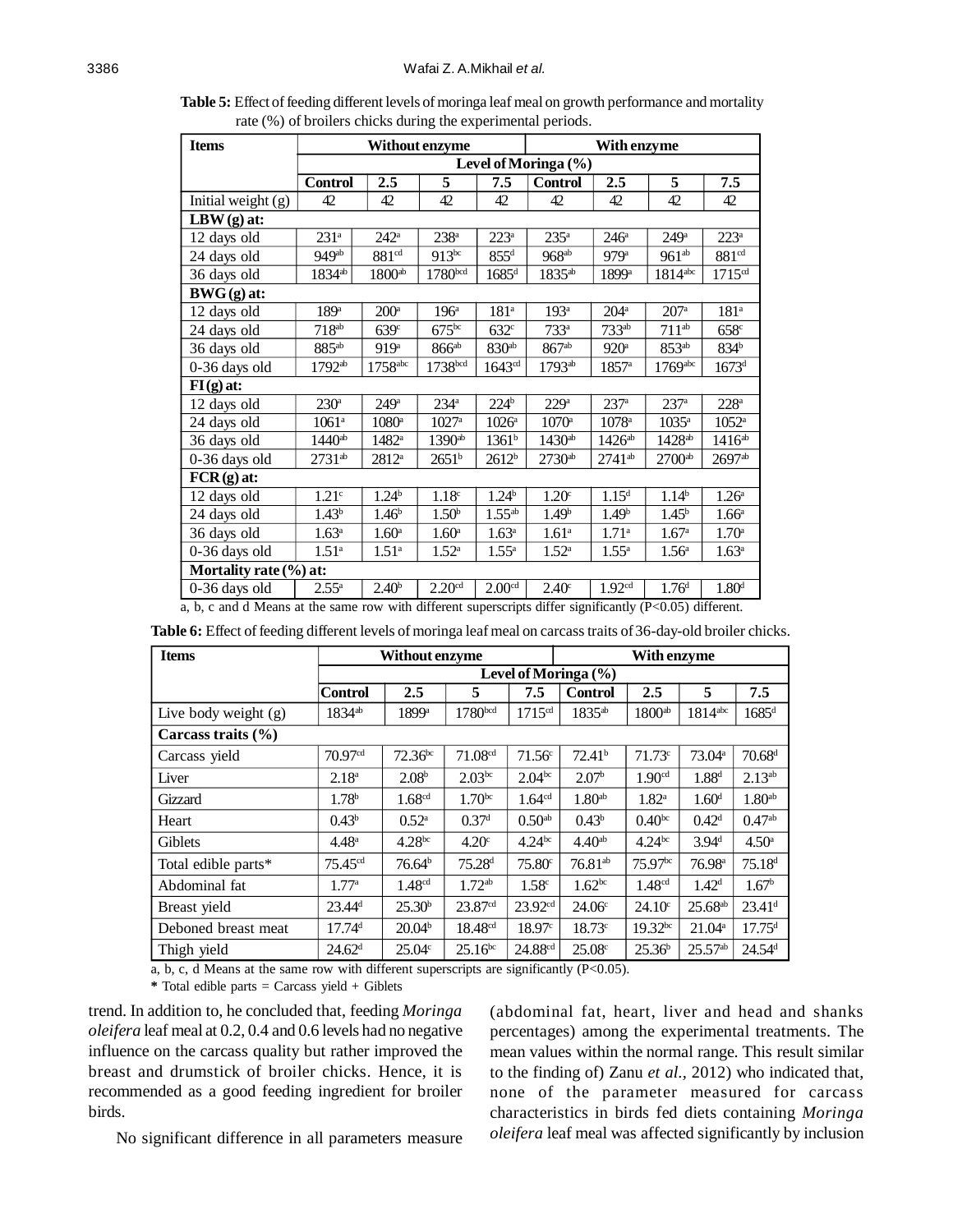**Table 5:** Effect of feeding different levels of moringa leaf meal on growth performance and mortality rate (%) of broilers chicks during the experimental periods.

| <b>Items</b>                                                                                               | Without enzyme       |                       |                     |                     | With enzyme        |                    |                       |                      |
|------------------------------------------------------------------------------------------------------------|----------------------|-----------------------|---------------------|---------------------|--------------------|--------------------|-----------------------|----------------------|
|                                                                                                            | Level of Moringa (%) |                       |                     |                     |                    |                    |                       |                      |
|                                                                                                            | <b>Control</b>       | 2.5                   | 5                   | 7.5                 | <b>Control</b>     | 2.5                | 5                     | 7.5                  |
| Initial weight (g)                                                                                         | 42                   | 42                    | 42                  | 42                  | 42                 | 42                 | 42                    | 42                   |
| $LBW(g)$ at:                                                                                               |                      |                       |                     |                     |                    |                    |                       |                      |
| 12 days old                                                                                                | 231 <sup>a</sup>     | $242^{\circ}$         | 238 <sup>a</sup>    | $223^a$             | 235 <sup>a</sup>   | 246 <sup>a</sup>   | 249 <sup>a</sup>      | $223^a$              |
| 24 days old                                                                                                | 949 <sup>ab</sup>    | 881 <sup>cd</sup>     | $913^{bc}$          | $855^d$             | 968 <sup>ab</sup>  | 979 <sup>a</sup>   | $961^{ab}$            | 881 <sup>cd</sup>    |
| 36 days old                                                                                                | $1834^{ab}$          | 1800 <sup>ab</sup>    | 1780 <sup>bcd</sup> | $1685$ <sup>d</sup> | 1835 <sup>ab</sup> | 1899 <sup>a</sup>  | $1814$ <sup>abc</sup> | 1715 <sup>cd</sup>   |
| $BWG(g)$ at:                                                                                               |                      |                       |                     |                     |                    |                    |                       |                      |
| 12 days old                                                                                                | 189 <sup>a</sup>     | $200^{\mathrm{a}}$    | 196 <sup>a</sup>    | 181 <sup>a</sup>    | 193 <sup>a</sup>   | $204^{\mathrm{a}}$ | $207$ <sup>a</sup>    | 181 <sup>a</sup>     |
| 24 days old                                                                                                | $718^{ab}$           | 639 <sup>c</sup>      | 675 <sup>bc</sup>   | 632 <sup>c</sup>    | $733^a$            | 733 <sup>ab</sup>  | $711^{ab}$            | 658c                 |
| 36 days old                                                                                                | $885^{ab}$           | 919 <sup>a</sup>      | 866 <sup>ab</sup>   | 830 <sup>ab</sup>   | 867 <sup>ab</sup>  | 920 <sup>a</sup>   | 853 <sup>ab</sup>     | $834^{\rm b}$        |
| 0-36 days old                                                                                              | $1792^{ab}$          | $1758$ <sup>abc</sup> | 1738bcd             | 1643 <sup>cd</sup>  | $1793^{ab}$        | $1857^{\circ}$     | $1769$ <sup>abc</sup> | $1673^{\rm d}$       |
| $FI(g)$ at:                                                                                                |                      |                       |                     |                     |                    |                    |                       |                      |
| 12 days old                                                                                                | 230 <sup>a</sup>     | 249 <sup>a</sup>      | $234^{\circ}$       | 224 <sup>b</sup>    | 229 <sup>a</sup>   | $237^{\mathrm{a}}$ | 237 <sup>a</sup>      | $228^a$              |
| 24 days old                                                                                                | 1061 <sup>a</sup>    | $1080^{\circ}$        | $1027^{\rm a}$      | $1026^{\circ}$      | $1070^{\rm a}$     | $1078^{\circ}$     | $1035^{\rm a}$        | $1052^{\circ}$       |
| 36 days old                                                                                                | $1440^{ab}$          | $1482$ <sup>a</sup>   | 1390 <sup>ab</sup>  | 1361 <sup>b</sup>   | 1430 <sup>ab</sup> | 1426 <sup>ab</sup> | 1428 <sup>ab</sup>    | $1416^{ab}$          |
| 0-36 days old                                                                                              | 2731 <sup>ab</sup>   | $2812^{\rm a}$        | $2651^{\rm b}$      | 2612 <sup>b</sup>   | 2730 <sup>ab</sup> | $2741^{ab}$        | $2700$ <sup>ab</sup>  | $2697$ <sup>ab</sup> |
| $FCR(g)$ at:                                                                                               |                      |                       |                     |                     |                    |                    |                       |                      |
| 12 days old                                                                                                | 1.21 <sup>c</sup>    | 1.24 <sup>b</sup>     | 1.18 <sup>c</sup>   | 1.24 <sup>b</sup>   | 1.20 <sup>c</sup>  | 1.15 <sup>d</sup>  | 1.14 <sup>b</sup>     | 1.26 <sup>a</sup>    |
| 24 days old                                                                                                | 1.43 <sup>b</sup>    | 1.46 <sup>b</sup>     | 1.50 <sup>b</sup>   | $1.55^{ab}$         | 1.49 <sup>b</sup>  | 1.49 <sup>b</sup>  | 1.45 <sup>b</sup>     | $1.66^{\circ}$       |
| 36 days old                                                                                                | $1.63^{\circ}$       | 1.60 <sup>a</sup>     | 1.60 <sup>a</sup>   | $1.63^{\circ}$      | 1.61 <sup>a</sup>  | $1.71^{\circ}$     | 1.67 <sup>a</sup>     | 1.70 <sup>a</sup>    |
| 0-36 days old                                                                                              | 1.51 <sup>a</sup>    | $1.51^{\circ}$        | $1.52^{\circ}$      | $1.55^{\rm a}$      | $1.52^{\circ}$     | $1.55^{\rm a}$     | 1.56 <sup>a</sup>     | $1.63^a$             |
| Mortality rate (%) at:                                                                                     |                      |                       |                     |                     |                    |                    |                       |                      |
| 0-36 days old                                                                                              | $2.55^{\rm a}$       | 2.40 <sup>b</sup>     | 2.20 <sup>cd</sup>  | 2.00 <sup>cd</sup>  | 2.40 <sup>c</sup>  | 1.92 <sup>cd</sup> | 1.76 <sup>d</sup>     | 1.80 <sup>d</sup>    |
| a, b, c and d Means at the same row with different superscripts differ significantly $(P<0.05)$ different. |                      |                       |                     |                     |                    |                    |                       |                      |

| <b>Items</b>           |                        | Without enzyme     |                     |                     | With enzyme        |                     |                    |                      |
|------------------------|------------------------|--------------------|---------------------|---------------------|--------------------|---------------------|--------------------|----------------------|
|                        | Level of Moringa $(\%$ |                    |                     |                     |                    |                     |                    |                      |
|                        | Control                | 2.5                | 5                   | 7.5                 | <b>Control</b>     | 2.5                 | 5                  | 7.5                  |
| Live body weight (g)   | 1834 <sup>ab</sup>     | 1899 <sup>a</sup>  | 1780bcd             | 1715 <sup>cd</sup>  | 1835 <sup>ab</sup> | 1800 <sup>ab</sup>  | 1814abc            | $1685^{\rm d}$       |
| Carcass traits $(\% )$ |                        |                    |                     |                     |                    |                     |                    |                      |
| Carcass yield          | 70.97 <sup>cd</sup>    | $72.36^{bc}$       | 71.08 <sup>cd</sup> | $71.56^{\circ}$     | 72.41 <sup>b</sup> | 71.73c              | 73.04 <sup>a</sup> | 70.68 <sup>d</sup>   |
| Liver                  | 2.18 <sup>a</sup>      | 2.08 <sup>b</sup>  | 2.03 <sup>bc</sup>  | 2.04 <sup>bc</sup>  | 2.07 <sup>b</sup>  | 1.90 <sup>cd</sup>  | 1.88 <sup>d</sup>  | $2.13^{ab}$          |
| Gizzard                | 1.78 <sup>b</sup>      | 1.68 <sup>cd</sup> | $1.70^{bc}$         | 1.64 <sup>cd</sup>  | 1.80 <sup>ab</sup> | 1.82 <sup>a</sup>   | 1.60 <sup>d</sup>  | 1.80 <sup>ab</sup>   |
| Heart                  | 0.43 <sup>b</sup>      | $0.52^{\rm a}$     | 0.37 <sup>d</sup>   | 0.50 <sup>ab</sup>  | 0.43 <sup>b</sup>  | 0.40 <sup>bc</sup>  | 0.42 <sup>d</sup>  | $0.47^{ab}$          |
| Giblets                | 4.48 <sup>a</sup>      | 4.28 <sup>bc</sup> | 4.20 <sup>c</sup>   | 4.24 <sup>bc</sup>  | 4.40 <sup>ab</sup> | 4.24 <sup>bc</sup>  | 3.94 <sup>d</sup>  | 4.50 <sup>a</sup>    |
| Total edible parts*    | $75.45^{cd}$           | 76.64 <sup>b</sup> | 75.28 <sup>d</sup>  | $75.80^{\circ}$     | $76.81^{ab}$       | 75.97 <sup>bc</sup> | 76.98 <sup>a</sup> | 75.18 <sup>d</sup>   |
| Abdominal fat          | 1.77 <sup>a</sup>      | 1.48 <sup>cd</sup> | $1.72^{ab}$         | 1.58 <sup>c</sup>   | 1.62 <sup>bc</sup> | 1.48 <sup>cd</sup>  | 1.42 <sup>d</sup>  | 1.67 <sup>b</sup>    |
| Breast yield           | 23.44 <sup>d</sup>     | 25.30 <sup>b</sup> | 23.87 <sup>cd</sup> | 23.92 <sup>cd</sup> | $24.06^{\circ}$    | $24.10^{\circ}$     | $25.68^{ab}$       | $23.41$ <sup>d</sup> |
| Deboned breast meat    | 17.74 <sup>d</sup>     | 20.04 <sup>b</sup> | 18.48 <sup>cd</sup> | 18.97c              | 18.73c             | $19.32^{bc}$        | $21.04^a$          | 17.75 <sup>d</sup>   |
| Thigh yield            | 24.62 <sup>d</sup>     | $25.04^{\circ}$    | $25.16^{bc}$        | 24.88 <sup>cd</sup> | 25.08c             | 25.36 <sup>b</sup>  | $25.57^{ab}$       | $24.54^d$            |

**Table 6:** Effect of feeding different levels of moringa leaf meal on carcass traits of 36-day-old broiler chicks.

 $\overline{a}$ , b, c, d Means at the same row with different superscripts are significantly (P<0.05).

**\*** Total edible parts = Carcass yield + Giblets

trend. In addition to, he concluded that, feeding *Moringa oleifera* leaf meal at 0.2, 0.4 and 0.6 levels had no negative influence on the carcass quality but rather improved the breast and drumstick of broiler chicks. Hence, it is recommended as a good feeding ingredient for broiler birds.

(abdominal fat, heart, liver and head and shanks percentages) among the experimental treatments. The mean values within the normal range. This result similar to the finding of) Zanu *et al.,* 2012) who indicated that, none of the parameter measured for carcass characteristics in birds fed diets containing *Moringa oleifera* leaf meal was affected significantly by inclusion

No significant difference in all parameters measure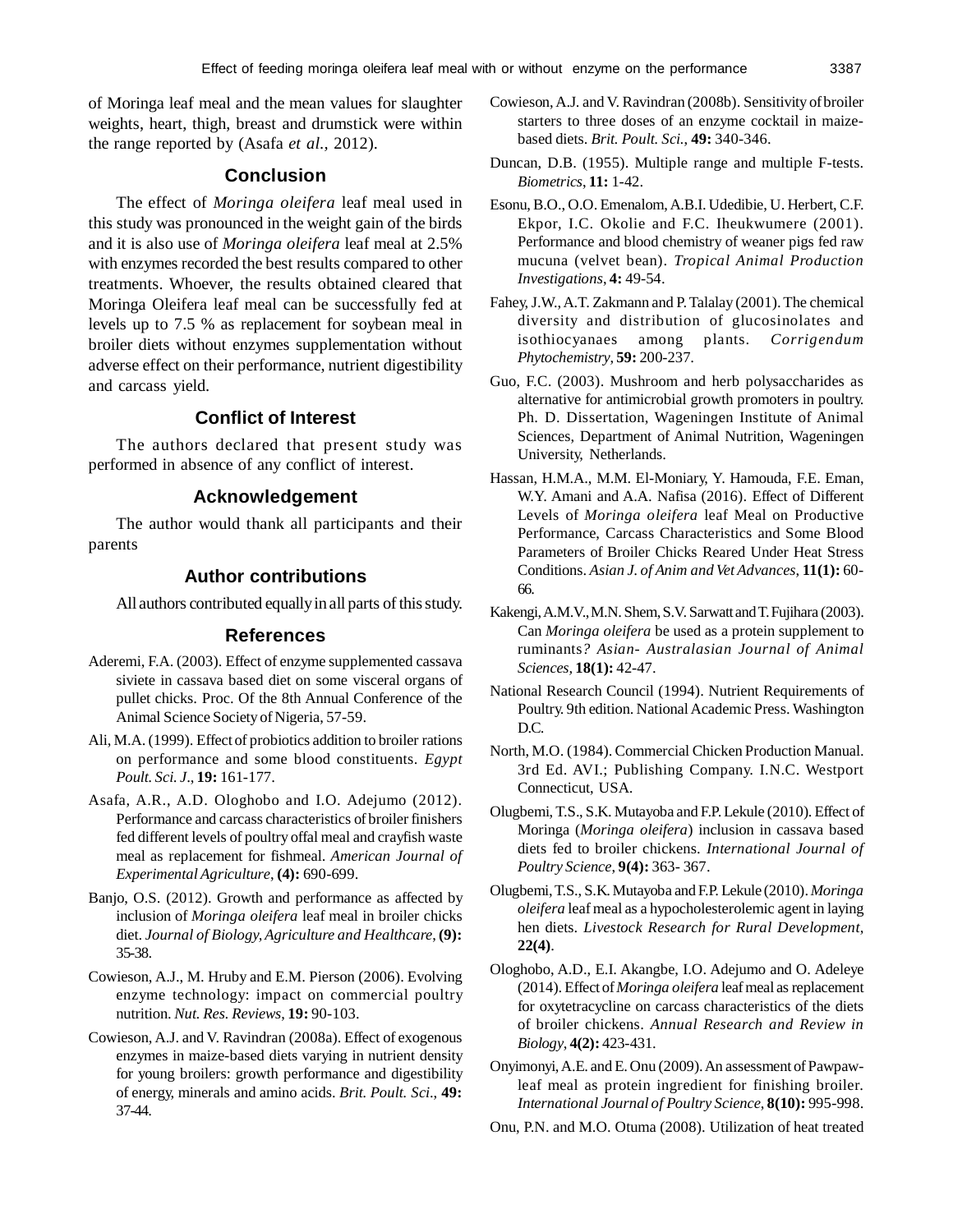of Moringa leaf meal and the mean values for slaughter weights, heart, thigh, breast and drumstick were within the range reported by (Asafa *et al.,* 2012).

# **Conclusion**

The effect of *Moringa oleifera* leaf meal used in this study was pronounced in the weight gain of the birds and it is also use of *Moringa oleifera* leaf meal at 2.5% with enzymes recorded the best results compared to other treatments. Whoever, the results obtained cleared that Moringa Oleifera leaf meal can be successfully fed at levels up to 7.5 % as replacement for soybean meal in broiler diets without enzymes supplementation without adverse effect on their performance, nutrient digestibility and carcass yield.

# **Conflict of Interest**

The authors declared that present study was performed in absence of any conflict of interest.

### **Acknowledgement**

The author would thank all participants and their parents

# **Author contributions**

All authors contributed equally in all parts of this study.

# **References**

- Aderemi, F.A. (2003). Effect of enzyme supplemented cassava siviete in cassava based diet on some visceral organs of pullet chicks. Proc. Of the 8th Annual Conference of the Animal Science Society of Nigeria, 57-59.
- Ali, M.A. (1999). Effect of probiotics addition to broiler rations on performance and some blood constituents. *Egypt Poult. Sci. J*., **19:** 161-177.
- Asafa, A.R., A.D. Ologhobo and I.O. Adejumo (2012). Performance and carcass characteristics of broiler finishers fed different levels of poultry offal meal and crayfish waste meal as replacement for fishmeal. *American Journal of Experimental Agriculture*, **(4):** 690-699.
- Banjo, O.S. (2012). Growth and performance as affected by inclusion of *Moringa oleifera* leaf meal in broiler chicks diet. *Journal of Biology, Agriculture and Healthcare*, **(9):** 35-38.
- Cowieson, A.J., M. Hruby and E.M. Pierson (2006). Evolving enzyme technology: impact on commercial poultry nutrition. *Nut. Res. Reviews*, **19:** 90-103.
- Cowieson, A.J. and V. Ravindran (2008a). Effect of exogenous enzymes in maize-based diets varying in nutrient density for young broilers: growth performance and digestibility of energy, minerals and amino acids. *Brit. Poult. Sci*., **49:** 37-44.
- Cowieson,A.J. and V. Ravindran (2008b). Sensitivity ofbroiler starters to three doses of an enzyme cocktail in maizebased diets. *Brit. Poult. Sci.*, **49:** 340-346.
- Duncan, D.B. (1955). Multiple range and multiple F-tests. *Biometrics*, **11:** 1-42.
- Esonu, B.O., O.O. Emenalom, A.B.I. Udedibie, U. Herbert, C.F. Ekpor, I.C. Okolie and F.C. Iheukwumere (2001). Performance and blood chemistry of weaner pigs fed raw mucuna (velvet bean). *Tropical Animal Production Investigations*, **4:** 49-54.
- Fahey, J.W., A.T. Zakmann and P. Talalay (2001). The chemical diversity and distribution of glucosinolates and isothiocyanaes among plants. *Corrigendum Phytochemistry*, **59:** 200-237.
- Guo, F.C. (2003). Mushroom and herb polysaccharides as alternative for antimicrobial growth promoters in poultry. Ph. D. Dissertation, Wageningen Institute of Animal Sciences, Department of Animal Nutrition, Wageningen University, Netherlands.
- Hassan, H.M.A., M.M. El-Moniary, Y. Hamouda, F.E. Eman, W.Y. Amani and A.A. Nafisa (2016). Effect of Different Levels of *Moringa oleifera* leaf Meal on Productive Performance, Carcass Characteristics and Some Blood Parameters of Broiler Chicks Reared Under Heat Stress Conditions. *Asian J. of Anim and Vet Advances*, **11(1):** 60- 66.
- Kakengi, A.M.V., M.N. Shem, S.V. Sarwatt and T. Fujihara (2003). Can *Moringa oleifera* be used as a protein supplement to ruminants*? Asian- Australasian Journal of Animal Sciences,* **18(1):** 42-47.
- National Research Council (1994). Nutrient Requirements of Poultry. 9th edition. National Academic Press. Washington D.C.
- North, M.O. (1984). Commercial Chicken Production Manual. 3rd Ed. AVI.; Publishing Company. I.N.C. Westport Connecticut, USA.
- Olugbemi, T.S., S.K. Mutayoba and F.P. Lekule (2010). Effect of Moringa (*Moringa oleifera*) inclusion in cassava based diets fed to broiler chickens. *International Journal of Poultry Science*, **9(4):** 363- 367.
- Olugbemi, T.S., S.K. Mutayoba and F.P. Lekule (2010). *Moringa oleifera* leaf meal as a hypocholesterolemic agent in laying hen diets. *Livestock Research for Rural Development*, **22(4)**.
- Ologhobo, A.D., E.I. Akangbe, I.O. Adejumo and O. Adeleye (2014). Effect of *Moringa oleifera* leaf meal as replacement for oxytetracycline on carcass characteristics of the diets of broiler chickens. *Annual Research and Review in Biology*, **4(2):** 423-431.
- Onyimonyi, A.E. and E. Onu (2009). An assessment of Pawpawleaf meal as protein ingredient for finishing broiler. *International Journal of Poultry Science*, **8(10):** 995-998.
- Onu, P.N. and M.O. Otuma (2008). Utilization of heat treated